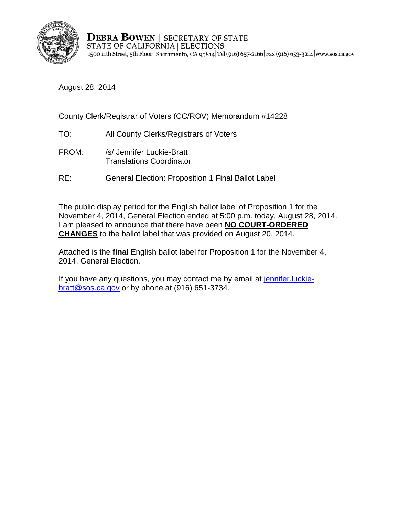

**DEBRA BOWEN | SECRETARY OF STATE** STATE OF CALIFORNIA | ELECTIONS 1500 11th Street, 5th Floor | Sacramento, CA 95814 Tel (916) 657-2166 | Fax (916) 653-3214 | www.sos.ca.gov

August 28, 2014

County Clerk/Registrar of Voters (CC/ROV) Memorandum #14228

- TO: All County Clerks/Registrars of Voters
- FROM: /s/ Jennifer Luckie-Bratt Translations Coordinator
- RE: General Election: Proposition 1 Final Ballot Label

The public display period for the English ballot label of Proposition 1 for the November 4, 2014, General Election ended at 5:00 p.m. today, August 28, 2014. I am pleased to announce that there have been **NO COURT-ORDERED CHANGES** to the ballot label that was provided on August 20, 2014.

Attached is the **final** English ballot label for Proposition 1 for the November 4, 2014, General Election.

If you have any questions, you may contact me by email at jennifer. luckie[bratt@sos.ca.gov](mailto:jennifer.luckie-bratt@sos.ca.gov) or by phone at (916) 651-3734.